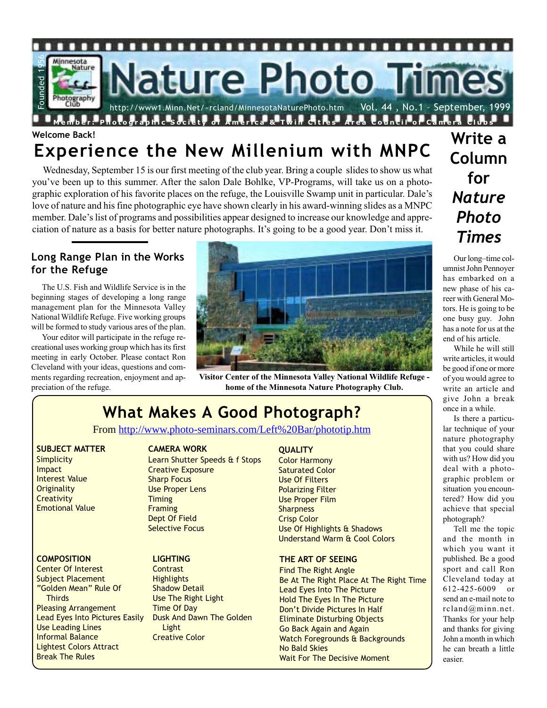

# **Welcome Back! Experience the New Millenium with MNPC**

Wednesday, September 15 is our first meeting of the club year. Bring a couple slides to show us what you've been up to this summer. After the salon Dale Bohlke, VP-Programs, will take us on a photographic exploration of his favorite places on the refuge, the Louisville Swamp unit in particular. Dale's love of nature and his fine photographic eye have shown clearly in his award-winning slides as a MNPC member. Dale's list of programs and possibilities appear designed to increase our knowledge and appreciation of nature as a basis for better nature photographs. It's going to be a good year. Don't miss it.

#### **Long Range Plan in the Works for the Refuge**

The U.S. Fish and Wildlife Service is in the beginning stages of developing a long range management plan for the Minnesota Valley National Wildlife Refuge. Five working groups will be formed to study various ares of the plan.

Your editor will participate in the refuge recreational uses working group which has its first meeting in early October. Please contact Ron Cleveland with your ideas, questions and comments regarding recreation, enjoyment and appreciation of the refuge.



**Visitor Center of the Minnesota Valley National Wildlife Refuge home of the Minnesota Nature Photography Club.**

# **What Makes A Good Photograph?**

From http://www.photo-seminars.com/Left%20Bar/phototip.htm

#### **SUBJECT MATTER**

**Simplicity Impact** Interest Value **Originality Creativity** Emotional Value

#### **COMPOSITION**

Center Of Interest Subject Placement "Golden Mean" Rule Of **Thirds** Pleasing Arrangement Lead Eyes Into Pictures Easily Use Leading Lines Informal Balance Lightest Colors Attract Break The Rules

#### **CAMERA WORK**

Learn Shutter Speeds & f Stops Creative Exposure Sharp Focus Use Proper Lens **Timing** Framing Dept Of Field Selective Focus

#### **LIGHTING**

**Contrast Highlights** Shadow Detail Use The Right Light Time Of Day Dusk And Dawn The Golden **Light** Creative Color

#### **QUALITY**

Color Harmony Saturated Color Use Of Filters Polarizing Filter Use Proper Film **Sharpness** Crisp Color Use Of Highlights & Shadows Understand Warm & Cool Colors

#### **THE ART OF SEEING**

Find The Right Angle Be At The Right Place At The Right Time Lead Eyes Into The Picture Hold The Eyes In The Picture Don't Divide Pictures In Half Eliminate Disturbing Objects Go Back Again and Again Watch Foregrounds & Backgrounds No Bald Skies Wait For The Decisive Moment

**Write a Column for** *Nature Photo Times*

Our long–time columnist John Pennoyer has embarked on a new phase of his career with General Motors. He is going to be one busy guy. John has a note for us at the end of his article.

While he will still write articles, it would be good if one or more of you would agree to write an article and give John a break once in a while.

Is there a particular technique of your nature photography that you could share with us? How did you deal with a photographic problem or situation you encountered? How did you achieve that special photograph?

Tell me the topic and the month in which you want it published. Be a good sport and call Ron Cleveland today at 612-425-6009 or send an e-mail note to rcland@minn.net. Thanks for your help and thanks for giving John a month in which he can breath a little easier.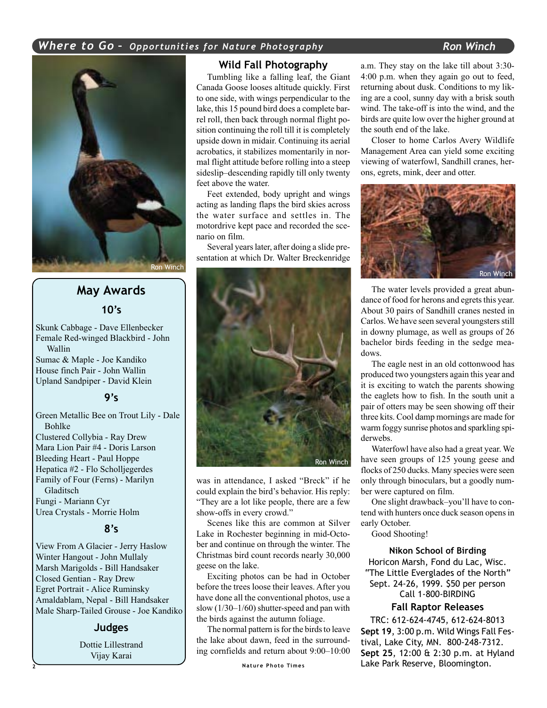

# **May Awards 10's**

Skunk Cabbage - Dave Ellenbecker Female Red-winged Blackbird - John Wallin Sumac & Maple - Joe Kandiko House finch Pair - John Wallin Upland Sandpiper - David Klein

#### **9's**

Green Metallic Bee on Trout Lily - Dale Bohlke Clustered Collybia - Ray Drew Mara Lion Pair #4 - Doris Larson Bleeding Heart - Paul Hoppe Hepatica #2 - Flo Scholljegerdes Family of Four (Ferns) - Marilyn Gladitsch Fungi - Mariann Cyr Urea Crystals - Morrie Holm

#### **8's**

View From A Glacier - Jerry Haslow Winter Hangout - John Mullaly Marsh Marigolds - Bill Handsaker Closed Gentian - Ray Drew Egret Portrait - Alice Ruminsky Amaldablam, Nepal - Bill Handsaker Male Sharp-Tailed Grouse - Joe Kandiko

#### **Judges**

Dottie Lillestrand Vijay Karai

#### **Wild Fall Photography**

Tumbling like a falling leaf, the Giant Canada Goose looses altitude quickly. First to one side, with wings perpendicular to the lake, this 15 pound bird does a complete barrel roll, then back through normal flight position continuing the roll till it is completely upside down in midair. Continuing its aerial acrobatics, it stabilizes momentarily in normal flight attitude before rolling into a steep sideslip–descending rapidly till only twenty feet above the water.

Feet extended, body upright and wings acting as landing flaps the bird skies across the water surface and settles in. The motordrive kept pace and recorded the scenario on film.

Several years later, after doing a slide presentation at which Dr. Walter Breckenridge



was in attendance, I asked "Breck" if he could explain the bird's behavior. His reply: "They are a lot like people, there are a few show-offs in every crowd."

Scenes like this are common at Silver Lake in Rochester beginning in mid-October and continue on through the winter. The Christmas bird count records nearly 30,000 geese on the lake.

Exciting photos can be had in October before the trees loose their leaves. After you have done all the conventional photos, use a slow (1/30–1/60) shutter-speed and pan with the birds against the autumn foliage.

The normal pattern is for the birds to leave the lake about dawn, feed in the surrounding cornfields and return about 9:00–10:00

a.m. They stay on the lake till about 3:30- 4:00 p.m. when they again go out to feed, returning about dusk. Conditions to my liking are a cool, sunny day with a brisk south wind. The take-off is into the wind, and the birds are quite low over the higher ground at the south end of the lake.

Closer to home Carlos Avery Wildlife Management Area can yield some exciting viewing of waterfowl, Sandhill cranes, herons, egrets, mink, deer and otter.



The water levels provided a great abundance of food for herons and egrets this year. About 30 pairs of Sandhill cranes nested in Carlos. We have seen several youngsters still in downy plumage, as well as groups of 26 bachelor birds feeding in the sedge meadows.

The eagle nest in an old cottonwood has produced two youngsters again this year and it is exciting to watch the parents showing the eaglets how to fish. In the south unit a pair of otters may be seen showing off their three kits. Cool damp mornings are made for warm foggy sunrise photos and sparkling spiderwebs.

Waterfowl have also had a great year. We have seen groups of 125 young geese and flocks of 250 ducks. Many species were seen only through binoculars, but a goodly number were captured on film.

One slight drawback–you'll have to contend with hunters once duck season opens in early October.

Good Shooting!

**Nikon School of Birding** Horicon Marsh, Fond du Lac, Wisc. "The Little Everglades of the North" Sept. 24-26, 1999. \$50 per person Call 1-800-BIRDING

#### **Fall Raptor Releases**

TRC: 612-624-4745, 612-624-8013 **Sept 19**, 3:00 p.m. Wild Wings Fall Festival, Lake City, MN. 800-248-7312. **Sept 25**, 12:00 & 2:30 p.m. at Hyland Lake Park Reserve, Bloomington.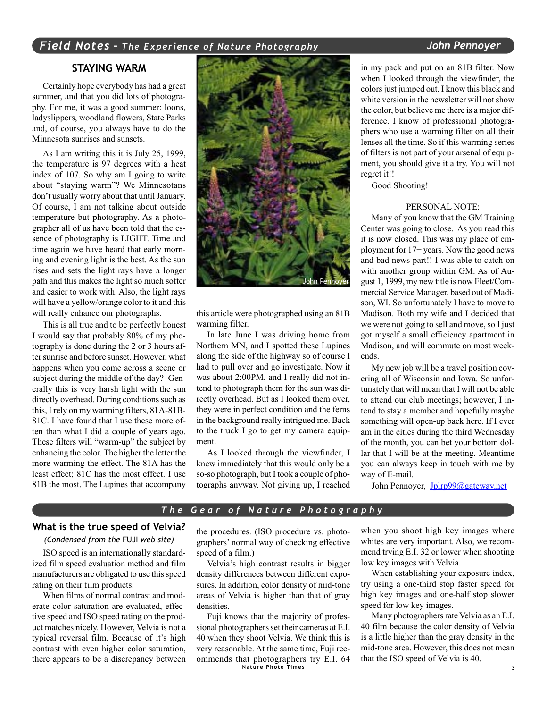#### *Field Notes – The Experience of Nature Photography John Pennoyer*

#### **STAYING WARM**

Certainly hope everybody has had a great summer, and that you did lots of photography. For me, it was a good summer: loons, ladyslippers, woodland flowers, State Parks and, of course, you always have to do the Minnesota sunrises and sunsets.

As I am writing this it is July 25, 1999, the temperature is 97 degrees with a heat index of 107. So why am I going to write about "staying warm"? We Minnesotans don't usually worry about that until January. Of course, I am not talking about outside temperature but photography. As a photographer all of us have been told that the essence of photography is LIGHT. Time and time again we have heard that early morning and evening light is the best. As the sun rises and sets the light rays have a longer path and this makes the light so much softer and easier to work with. Also, the light rays will have a yellow/orange color to it and this will really enhance our photographs.

This is all true and to be perfectly honest I would say that probably 80% of my photography is done during the 2 or 3 hours after sunrise and before sunset. However, what happens when you come across a scene or subject during the middle of the day? Generally this is very harsh light with the sun directly overhead. During conditions such as this, I rely on my warming filters, 81A-81B-81C. I have found that I use these more often than what I did a couple of years ago. These filters will "warm-up" the subject by enhancing the color. The higher the letter the more warming the effect. The 81A has the least effect; 81C has the most effect. I use 81B the most. The Lupines that accompany



this article were photographed using an 81B warming filter.

In late June I was driving home from Northern MN, and I spotted these Lupines along the side of the highway so of course I had to pull over and go investigate. Now it was about 2:00PM, and I really did not intend to photograph them for the sun was directly overhead. But as I looked them over, they were in perfect condition and the ferns in the background really intrigued me. Back to the truck I go to get my camera equipment.

As I looked through the viewfinder, I knew immediately that this would only be a so-so photograph, but I took a couple of photographs anyway. Not giving up, I reached in my pack and put on an 81B filter. Now when I looked through the viewfinder, the colors just jumped out. I know this black and white version in the newsletter will not show the color, but believe me there is a major difference. I know of professional photographers who use a warming filter on all their lenses all the time. So if this warming series of filters is not part of your arsenal of equipment, you should give it a try. You will not regret it!!

Good Shooting!

#### PERSONAL NOTE:

Many of you know that the GM Training Center was going to close. As you read this it is now closed. This was my place of employment for 17+ years. Now the good news and bad news part!! I was able to catch on with another group within GM. As of August 1, 1999, my new title is now Fleet/Commercial Service Manager, based out of Madison, WI. So unfortunately I have to move to Madison. Both my wife and I decided that we were not going to sell and move, so I just got myself a small efficiency apartment in Madison, and will commute on most weekends.

My new job will be a travel position covering all of Wisconsin and Iowa. So unfortunately that will mean that I will not be able to attend our club meetings; however, I intend to stay a member and hopefully maybe something will open-up back here. If I ever am in the cities during the third Wednesday of the month, you can bet your bottom dollar that I will be at the meeting. Meantime you can always keep in touch with me by way of E-mail.

John Pennoyer, Jplrp99@gateway.net

#### *The Gear of Nature Photography*

#### **What is the true speed of Velvia?**

#### *(Condensed from the* FUJI *web site)*

ISO speed is an internationally standardized film speed evaluation method and film manufacturers are obligated to use this speed rating on their film products.

When films of normal contrast and moderate color saturation are evaluated, effective speed and ISO speed rating on the product matches nicely. However, Velvia is not a typical reversal film. Because of it's high contrast with even higher color saturation, there appears to be a discrepancy between

the procedures. (ISO procedure vs. photographers' normal way of checking effective speed of a film.)

Velvia's high contrast results in bigger density differences between different exposures. In addition, color density of mid-tone areas of Velvia is higher than that of gray densities.

**Nature Photo Times 3** Fuji knows that the majority of professional photographers set their cameras at E.I. 40 when they shoot Velvia. We think this is very reasonable. At the same time, Fuji recommends that photographers try E.I. 64

when you shoot high key images where whites are very important. Also, we recommend trying E.I. 32 or lower when shooting low key images with Velvia.

When establishing your exposure index, try using a one-third stop faster speed for high key images and one-half stop slower speed for low key images.

Many photographers rate Velvia as an E.I. 40 film because the color density of Velvia is a little higher than the gray density in the mid-tone area. However, this does not mean that the ISO speed of Velvia is 40.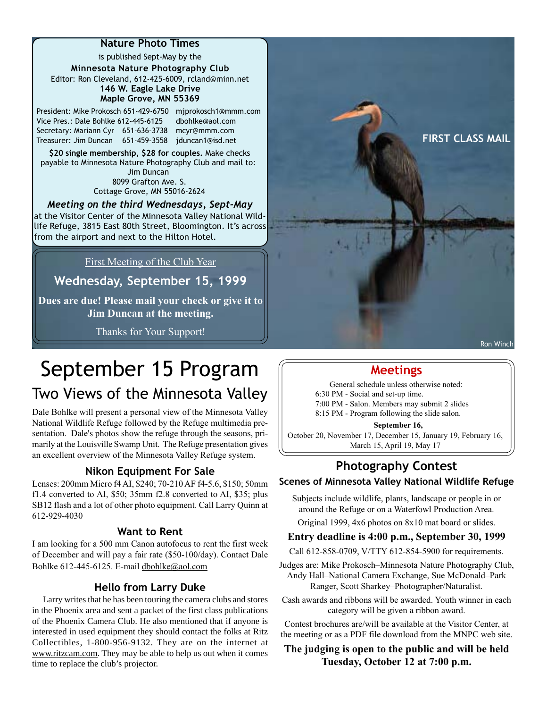is published Sept-May by the **Minnesota Nature Photography Club** Editor: Ron Cleveland, 612-425-6009, rcland@minn.net **146 W. Eagle Lake Drive Maple Grove, MN 55369**

President: Mike Prokosch 651-429-6750 mjprokosch1@mmm.com Vice Pres.: Dale Bohlke 612-445-6125 dbohlke@aol.com Secretary: Mariann Cyr 651-636-3738 mcyr@mmm.com

**\$20 single membership, \$28 for couples.** Make checks payable to Minnesota Nature Photography Club and mail to: Jim Duncan 8099 Grafton Ave. S.

*Meeting on the third Wednesdays, Sept-May* Cottage Grove, MN 55016-2624

at the Visitor Center of the Minnesota Valley National Wildlife Refuge, 3815 East 80th Street, Bloomington. It's across from the airport and next to the Hilton Hotel.

First Meeting of the Club Year

**Wednesday, September 15, 1999**

**Dues are due! Please mail your check or give it to Jim Duncan at the meeting.**

Thanks for Your Support!



Ron Winch

# September 15 Program

# Two Views of the Minnesota Valley

Dale Bohlke will present a personal view of the Minnesota Valley National Wildlife Refuge followed by the Refuge multimedia presentation. Dale's photos show the refuge through the seasons, primarily at the Louisville Swamp Unit. The Refuge presentation gives an excellent overview of the Minnesota Valley Refuge system.

#### **Nikon Equipment For Sale**

Lenses: 200mm Micro f4 AI, \$240; 70-210 AF f4-5.6, \$150; 50mm f1.4 converted to AI, \$50; 35mm f2.8 converted to AI, \$35; plus SB12 flash and a lot of other photo equipment. Call Larry Quinn at 612-929-4030

#### **Want to Rent**

I am looking for a 500 mm Canon autofocus to rent the first week of December and will pay a fair rate (\$50-100/day). Contact Dale Bohlke 612-445-6125. E-mail dbohlke@aol.com

#### **Hello from Larry Duke**

Larry writes that he has been touring the camera clubs and stores in the Phoenix area and sent a packet of the first class publications of the Phoenix Camera Club. He also mentioned that if anyone is interested in used equipment they should contact the folks at Ritz Collectibles, 1-800-956-9132. They are on the internet at www.ritzcam.com. They may be able to help us out when it comes time to replace the club's projector.

# **Meetings**

General schedule unless otherwise noted: 6:30 PM - Social and set-up time.

7:00 PM - Salon. Members may submit 2 slides

8:15 PM - Program following the slide salon.

#### **September 16,**

October 20, November 17, December 15, January 19, February 16, March 15, April 19, May 17

### **Photography Contest Scenes of Minnesota Valley National Wildlife Refuge**

Subjects include wildlife, plants, landscape or people in or around the Refuge or on a Waterfowl Production Area.

Original 1999, 4x6 photos on 8x10 mat board or slides.

#### **Entry deadline is 4:00 p.m., September 30, 1999**

Call 612-858-0709, V/TTY 612-854-5900 for requirements.

Judges are: Mike Prokosch–Minnesota Nature Photography Club, Andy Hall–National Camera Exchange, Sue McDonald–Park Ranger, Scott Sharkey–Photographer/Naturalist.

Cash awards and ribbons will be awarded. Youth winner in each category will be given a ribbon award.

Contest brochures are/will be available at the Visitor Center, at the meeting or as a PDF file download from the MNPC web site.

#### **The judging is open to the public and will be held Tuesday, October 12 at 7:00 p.m.**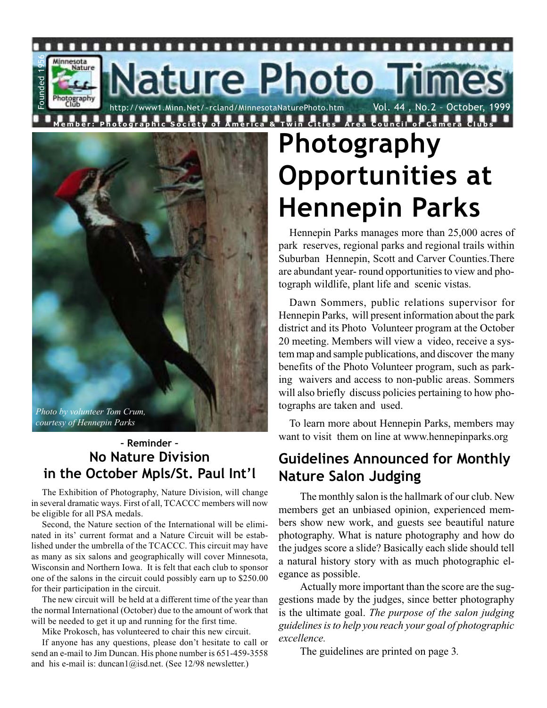ature Photo Tim Vol. 44, No.2 - October, http://www1.Minn.Net/~rcland/MinnesotaNaturePhoto.htm



п n п

Founded 1956

-ounded

п

Minnesota<br>Nature

tography<br>Club

## **– Reminder – No Nature Division in the October Mpls/St. Paul Int'l**

The Exhibition of Photography, Nature Division, will change in several dramatic ways. First of all, TCACCC members will now be eligible for all PSA medals.

Second, the Nature section of the International will be eliminated in its' current format and a Nature Circuit will be established under the umbrella of the TCACCC. This circuit may have as many as six salons and geographically will cover Minnesota, Wisconsin and Northern Iowa. It is felt that each club to sponsor one of the salons in the circuit could possibly earn up to \$250.00 for their participation in the circuit.

The new circuit will be held at a different time of the year than the normal International (October) due to the amount of work that will be needed to get it up and running for the first time.

Mike Prokosch, has volunteered to chair this new circuit.

If anyone has any questions, please don't hesitate to call or send an e-mail to Jim Duncan. His phone number is 651-459-3558 and his e-mail is: duncan1@isd.net. (See 12/98 newsletter.)

# **Photography Opportunities at Hennepin Parks**

.....................

Hennepin Parks manages more than 25,000 acres of park reserves, regional parks and regional trails within Suburban Hennepin, Scott and Carver Counties.There are abundant year- round opportunities to view and photograph wildlife, plant life and scenic vistas.

Dawn Sommers, public relations supervisor for Hennepin Parks, will present information about the park district and its Photo Volunteer program at the October 20 meeting. Members will view a video, receive a system map and sample publications, and discover the many benefits of the Photo Volunteer program, such as parking waivers and access to non-public areas. Sommers will also briefly discuss policies pertaining to how photographs are taken and used.

To learn more about Hennepin Parks, members may want to visit them on line at www.hennepinparks.org

# **Guidelines Announced for Monthly Nature Salon Judging**

The monthly salon is the hallmark of our club. New members get an unbiased opinion, experienced members show new work, and guests see beautiful nature photography. What is nature photography and how do the judges score a slide? Basically each slide should tell a natural history story with as much photographic elegance as possible.

Actually more important than the score are the suggestions made by the judges, since better photography is the ultimate goal. *The purpose of the salon judging guidelines is to help you reach your goal of photographic excellence.*

The guidelines are printed on page 3*.*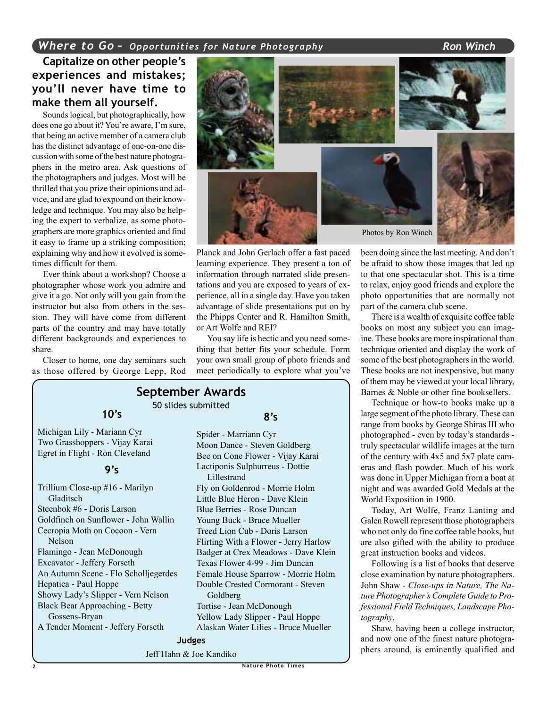#### **Capitalize on other people's experiences and mistakes; you'll never have time to make them all yourself.**

Sounds logical, but photographically, how does one go about it? You're aware, I'm sure, that being an active member of a camera club has the distinct advantage of one-on-one discussion with some of the best nature photographers in the metro area. Ask questions of the photographers and judges. Most will be thrilled that you prize their opinions and advice, and are glad to expound on their knowledge and technique. You may also be helping the expert to verbalize, as some photographers are more graphics oriented and find it easy to frame up a striking composition; explaining why and how it evolved is sometimes difficult for them.

Ever think about a workshop? Choose a photographer whose work you admire and give it a go. Not only will you gain from the instructor but also from others in the session. They will have come from different parts of the country and may have totally different backgrounds and experiences to share.

Closer to home, one day seminars such as those offered by George Lepp, Rod



Michigan Lily - Mariann Cyr Two Grasshoppers - Vijay Karai Egret in Flight - Ron Cleveland

#### **9's**

**10's**

Trillium Close-up #16 - Marilyn Gladitsch Steenbok #6 - Doris Larson Goldfinch on Sunflower - John Wallin Cecropia Moth on Cocoon - Vern Nelson Flamingo - Jean McDonough Excavator - Jeffery Forseth An Autumn Scene - Flo Scholljegerdes Hepatica - Paul Hoppe Showy Lady's Slipper - Vern Nelson Black Bear Approaching - Betty Gossens-Bryan A Tender Moment - Jeffery Forseth



Planck and John Gerlach offer a fast paced learning experience. They present a ton of information through narrated slide presentations and you are exposed to years of experience, all in a single day. Have you taken advantage of slide presentations put on by the Phipps Center and R. Hamilton Smith, or Art Wolfe and REI?

You say life is hectic and you need something that better fits your schedule. Form your own small group of photo friends and meet periodically to explore what you've

### **September Awards**

50 slides submitted

#### **8's**

Spider - Marriann Cyr Moon Dance - Steven Goldberg Bee on Cone Flower - Vijay Karai Lactiponis Sulphurreus - Dottie Lillestrand Fly on Goldenrod - Morrie Holm Little Blue Heron - Dave Klein Blue Berries - Rose Duncan Young Buck - Bruce Mueller Treed Lion Cub - Doris Larson Flirting With a Flower - Jerry Harlow Badger at Crex Meadows - Dave Klein Texas Flower 4-99 - Jim Duncan Female House Sparrow - Morrie Holm Double Crested Cormorant - Steven Goldberg Tortise - Jean McDonough

Yellow Lady Slipper - Paul Hoppe Alaskan Water Lilies - Bruce Mueller

**Judges**

Jeff Hahn & Joe Kandiko

been doing since the last meeting. And don't be afraid to show those images that led up to that one spectacular shot. This is a time to relax, enjoy good friends and explore the photo opportunities that are normally not part of the camera club scene.

There is a wealth of exquisite coffee table books on most any subject you can imagine. These books are more inspirational than technique oriented and display the work of some of the best photographers in the world. These books are not inexpensive, but many of them may be viewed at your local library, Barnes & Noble or other fine booksellers.

Technique or how-to books make up a large segment of the photo library. These can range from books by George Shiras III who photographed - even by today's standards truly spectacular wildlife images at the turn of the century with 4x5 and 5x7 plate cameras and flash powder. Much of his work was done in Upper Michigan from a boat at night and was awarded Gold Medals at the World Exposition in 1900.

Today, Art Wolfe, Franz Lanting and Galen Rowell represent those photographers who not only do fine coffee table books, but are also gifted with the ability to produce great instruction books and videos.

Following is a list of books that deserve close examination by nature photographers. John Shaw - *Close-ups in Nature, The Nature Photographer's Complete Guide to Professional Field Techniques, Landscape Photography*.

Shaw, having been a college instructor, and now one of the finest nature photographers around, is eminently qualified and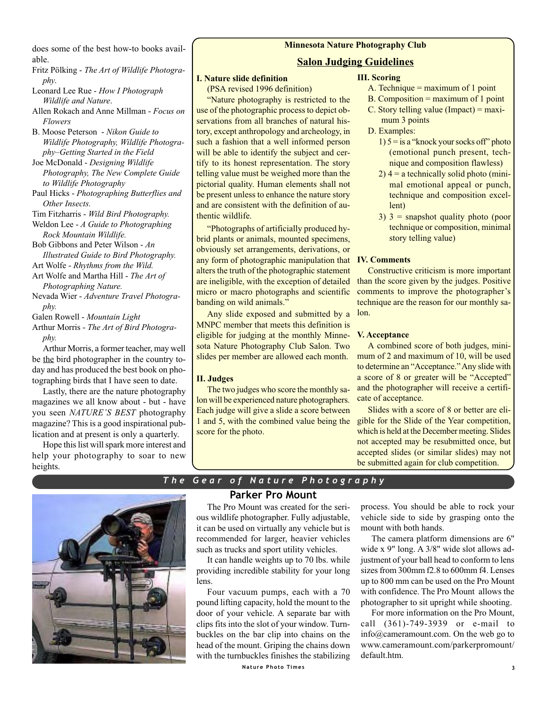does some of the best how-to books available.

Fritz Pölking - *The Art of Wildlife Photography*.

Leonard Lee Rue - *How I Photograph Wildlife and Nature*.

Allen Rokach and Anne Millman - *Focus on Flowers*

B. Moose Peterson - *Nikon Guide to Wildlife Photography, Wildlife Photography–Getting Started in the Field*

Joe McDonald - *Designing Wildlife Photography, The New Complete Guide to Wildlife Photography*

Paul Hicks - *Photographing Butterflies and Other Insects.*

Tim Fitzharris - *Wild Bird Photography.*

Weldon Lee - *A Guide to Photographing Rock Mountain Wildlife.*

Bob Gibbons and Peter Wilson - *An Illustrated Guide to Bird Photography.*

Art Wolfe - *Rhythms from the Wild.*

- Art Wolfe and Martha Hill *The Art of Photographing Nature.*
- Nevada Wier *Adventure Travel Photography.*

Galen Rowell - *Mountain Light*

Arthur Morris - *The Art of Bird Photography.*

Arthur Morris, a former teacher, may well be the bird photographer in the country today and has produced the best book on photographing birds that I have seen to date.

Lastly, there are the nature photography magazines we all know about - but - have you seen *NATURE'S BEST* photography magazine? This is a good inspirational publication and at present is only a quarterly.

Hope this list will spark more interest and help your photography to soar to new heights.

#### **Minnesota Nature Photography Club**

#### **Salon Judging Guidelines**

#### **I. Nature slide definition**

(PSA revised 1996 definition)

"Nature photography is restricted to the use of the photographic process to depict observations from all branches of natural history, except anthropology and archeology, in such a fashion that a well informed person will be able to identify the subject and certify to its honest representation. The story telling value must be weighed more than the pictorial quality. Human elements shall not be present unless to enhance the nature story and are consistent with the definition of authentic wildlife.

"Photographs of artificially produced hybrid plants or animals, mounted specimens, obviously set arrangements, derivations, or any form of photographic manipulation that **IV. Comments** alters the truth of the photographic statement are ineligible, with the exception of detailed micro or macro photographs and scientific banding on wild animals."

Any slide exposed and submitted by a MNPC member that meets this definition is eligible for judging at the monthly Minnesota Nature Photography Club Salon. Two slides per member are allowed each month.

#### **II. Judges**

The two judges who score the monthly salon will be experienced nature photographers. Each judge will give a slide a score between 1 and 5, with the combined value being the score for the photo.

#### **III. Scoring**

- A. Technique = maximum of 1 point
- B. Composition  $=$  maximum of 1 point
- C. Story telling value (Impact) = maximum 3 points
- D. Examples:
	- $1)$  5 = is a "knock your socks off" photo (emotional punch present, technique and composition flawless)
	- $2)$  4 = a technically solid photo (minimal emotional appeal or punch, technique and composition excellent)
	- $3)$  3 = snapshot quality photo (poor technique or composition, minimal story telling value)

Constructive criticism is more important than the score given by the judges. Positive comments to improve the photographer's technique are the reason for our monthly salon.

#### **V. Acceptance**

A combined score of both judges, minimum of 2 and maximum of 10, will be used to determine an "Acceptance." Any slide with a score of 8 or greater will be "Accepted" and the photographer will receive a certificate of acceptance.

Slides with a score of 8 or better are eligible for the Slide of the Year competition, which is held at the December meeting. Slides not accepted may be resubmitted once, but accepted slides (or similar slides) may not be submitted again for club competition.



#### *The Gear of Nature Photography*

#### **Parker Pro Mount**

The Pro Mount was created for the serious wildlife photographer. Fully adjustable, it can be used on virtually any vehicle but is recommended for larger, heavier vehicles such as trucks and sport utility vehicles.

It can handle weights up to 70 lbs. while providing incredible stability for your long lens.

Four vacuum pumps, each with a 70 pound lifting capacity, hold the mount to the door of your vehicle. A separate bar with clips fits into the slot of your window. Turnbuckles on the bar clip into chains on the head of the mount. Griping the chains down with the turnbuckles finishes the stabilizing process. You should be able to rock your vehicle side to side by grasping onto the mount with both hands.

The camera platform dimensions are 6" wide x 9" long. A 3/8" wide slot allows adjustment of your ball head to conform to lens sizes from 300mm f2.8 to 600mm f4. Lenses up to 800 mm can be used on the Pro Mount with confidence. The Pro Mount allows the photographer to sit upright while shooting.

For more information on the Pro Mount, call (361)-749-3939 or e-mail to info@cameramount.com. On the web go to www.cameramount.com/parkerpromount/ default.htm.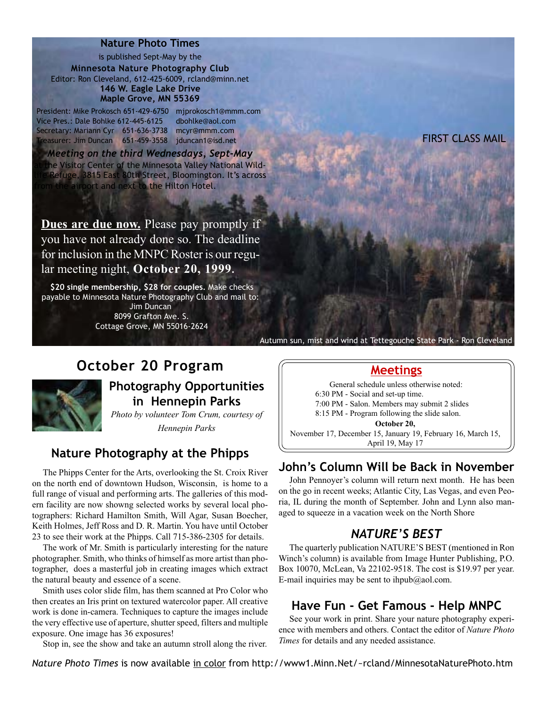is published Sept-May by the **Minnesota Nature Photography Club** Editor: Ron Cleveland, 612-425-6009, rcland@minn.net **146 W. Eagle Lake Drive Maple Grove, MN 55369**

President: Mike Prokosch 651-429-6750 mjprokosch1@mmm.com Vice Pres.: Dale Bohlke 612-445-6125 dbohlke@aol.com Secretary: Mariann Cyr 651-636-3738 mcyr@mmm.com Treasurer: Jim Duncan 651-459-3558 jduncan1@isd.net FIRST CLASS MAIL

*Meeting on the third Wednesdays, Sept-May* he Visitor Center of the Minnesota Valley National Wild-Refuge, 3815 East 80th Street, Bloomington. It's across airport and next to the Hilton Hotel.

**Dues are due now.** Please pay promptly if you have not already done so. The deadline for inclusion in the MNPC Roster is our regular meeting night, **October 20, 1999.**

**\$20 single membership, \$28 for couples.** Make checks payable to Minnesota Nature Photography Club and mail to:

> Jim Duncan 8099 Grafton Ave. S. Cottage Grove, MN 55016-2624

# **October 20 Program**



### **Photography Opportunities in Hennepin Parks**

*Photo by volunteer Tom Crum, courtesy of Hennepin Parks*

### **Nature Photography at the Phipps**

The Phipps Center for the Arts, overlooking the St. Croix River on the north end of downtown Hudson, Wisconsin, is home to a full range of visual and performing arts. The galleries of this modern facility are now showng selected works by several local photographers: Richard Hamilton Smith, Will Agar, Susan Boecher, Keith Holmes, Jeff Ross and D. R. Martin. You have until October 23 to see their work at the Phipps. Call 715-386-2305 for details.

The work of Mr. Smith is particularly interesting for the nature photographer. Smith, who thinks of himself as more artist than photographer, does a masterful job in creating images which extract the natural beauty and essence of a scene.

Smith uses color slide film, has them scanned at Pro Color who then creates an Iris print on textured watercolor paper. All creative work is done in-camera. Techniques to capture the images include the very effective use of aperture, shutter speed, filters and multiple exposure. One image has 36 exposures!

Stop in, see the show and take an autumn stroll along the river.

### **Meetings**

Autumn sun, mist and wind at Tettegouche State Park - Ron Cleveland

General schedule unless otherwise noted: 6:30 PM - Social and set-up time. 7:00 PM - Salon. Members may submit 2 slides 8:15 PM - Program following the slide salon. **October 20,** November 17, December 15, January 19, February 16, March 15, April 19, May 17

#### **John's Column Will be Back in November**

. John Pennoyer's column will return next month. He has been on the go in recent weeks; Atlantic City, Las Vegas, and even Peoria, IL during the month of September. John and Lynn also managed to squeeze in a vacation week on the North Shore

#### *NATURE'S BEST*

The quarterly publication NATURE'S BEST (mentioned in Ron Winch's column) is available from Image Hunter Publishing, P.O. Box 10070, McLean, Va 22102-9518. The cost is \$19.97 per year. E-mail inquiries may be sent to ihpub@aol.com.

#### **Have Fun - Get Famous - Help MNPC**

See your work in print. Share your nature photography experience with members and others. Contact the editor of *Nature Photo Times* for details and any needed assistance.

*Nature Photo Times* is now available in color from http://www1.Minn.Net/~rcland/MinnesotaNaturePhoto.htm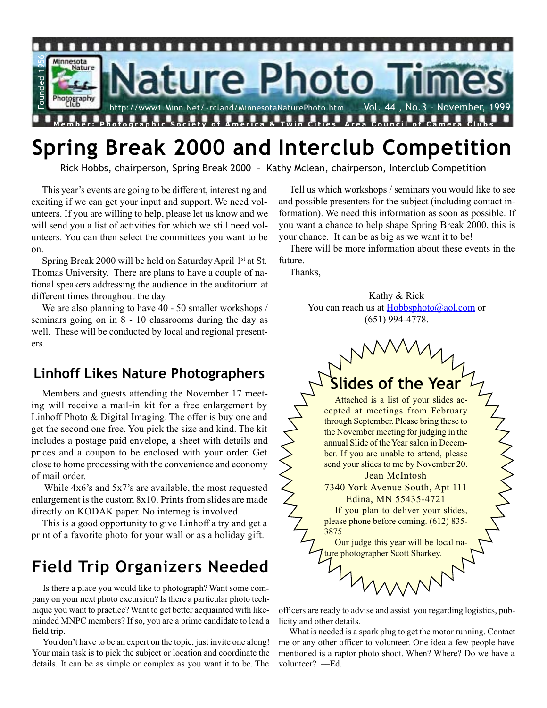

# **Spring Break 2000 and Interclub Competition**

Rick Hobbs, chairperson, Spring Break 2000 – Kathy Mclean, chairperson, Interclub Competition

This year's events are going to be different, interesting and exciting if we can get your input and support. We need volunteers. If you are willing to help, please let us know and we will send you a list of activities for which we still need volunteers. You can then select the committees you want to be on.

Spring Break 2000 will be held on Saturday April 1<sup>st</sup> at St. Thomas University. There are plans to have a couple of national speakers addressing the audience in the auditorium at different times throughout the day.

We are also planning to have 40 - 50 smaller workshops / seminars going on in 8 - 10 classrooms during the day as well. These will be conducted by local and regional presenters.

# **Linhoff Likes Nature Photographers**

Members and guests attending the November 17 meeting will receive a mail-in kit for a free enlargement by Linhoff Photo & Digital Imaging. The offer is buy one and get the second one free. You pick the size and kind. The kit includes a postage paid envelope, a sheet with details and prices and a coupon to be enclosed with your order. Get close to home processing with the convenience and economy of mail order.

 While 4x6's and 5x7's are available, the most requested enlargement is the custom 8x10. Prints from slides are made directly on KODAK paper. No interneg is involved.

This is a good opportunity to give Linhoff a try and get a print of a favorite photo for your wall or as a holiday gift.

# **Field Trip Organizers Needed**

Is there a place you would like to photograph? Want some company on your next photo excursion? Is there a particular photo technique you want to practice? Want to get better acquainted with likeminded MNPC members? If so, you are a prime candidate to lead a field trip.

You don't have to be an expert on the topic, just invite one along! Your main task is to pick the subject or location and coordinate the details. It can be as simple or complex as you want it to be. The

Tell us which workshops / seminars you would like to see and possible presenters for the subject (including contact information). We need this information as soon as possible. If you want a chance to help shape Spring Break 2000, this is your chance. It can be as big as we want it to be!

There will be more information about these events in the future.

Thanks,

Kathy & Rick You can reach us at Hobbsphoto@aol.com or (651) 994-4778.



officers are ready to advise and assist you regarding logistics, publicity and other details.

What is needed is a spark plug to get the motor running. Contact me or any other officer to volunteer. One idea a few people have mentioned is a raptor photo shoot. When? Where? Do we have a volunteer? -Ed.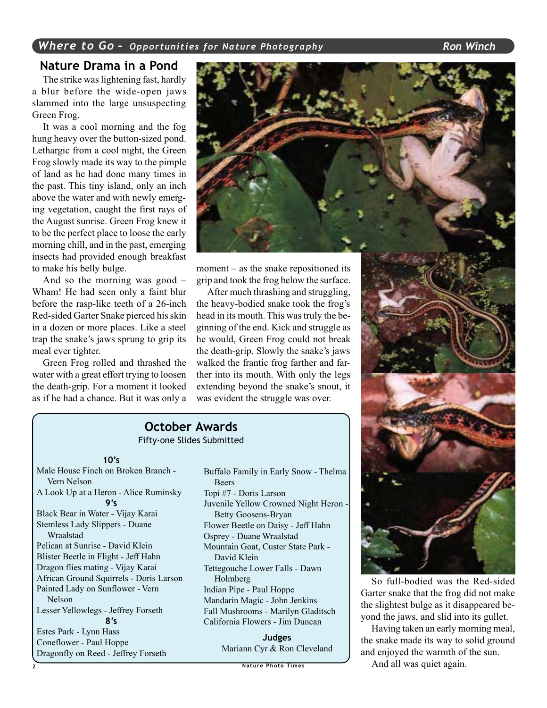#### **Nature Drama in a Pond**

The strike was lightening fast, hardly a blur before the wide-open jaws slammed into the large unsuspecting Green Frog.

It was a cool morning and the fog hung heavy over the button-sized pond. Lethargic from a cool night, the Green Frog slowly made its way to the pimple of land as he had done many times in the past. This tiny island, only an inch above the water and with newly emerging vegetation, caught the first rays of the August sunrise. Green Frog knew it to be the perfect place to loose the early morning chill, and in the past, emerging insects had provided enough breakfast to make his belly bulge.

And so the morning was good – Wham! He had seen only a faint blur before the rasp-like teeth of a 26-inch Red-sided Garter Snake pierced his skin in a dozen or more places. Like a steel trap the snake's jaws sprung to grip its meal ever tighter.

Green Frog rolled and thrashed the water with a great effort trying to loosen the death-grip. For a moment it looked as if he had a chance. But it was only a



moment – as the snake repositioned its grip and took the frog below the surface.

After much thrashing and struggling, the heavy-bodied snake took the frog's head in its mouth. This was truly the beginning of the end. Kick and struggle as he would, Green Frog could not break the death-grip. Slowly the snake's jaws walked the frantic frog farther and farther into its mouth. With only the legs extending beyond the snake's snout, it was evident the struggle was over.

### **October Awards**

Fifty-one Slides Submitted

#### **10's**

Male House Finch on Broken Branch - Vern Nelson A Look Up at a Heron - Alice Ruminsky **9's** Black Bear in Water - Vijay Karai Stemless Lady Slippers - Duane Wraalstad Pelican at Sunrise - David Klein Blister Beetle in Flight - Jeff Hahn Dragon flies mating - Vijay Karai African Ground Squirrels - Doris Larson Painted Lady on Sunflower - Vern Nelson Lesser Yellowlegs - Jeffrey Forseth **8's** Estes Park - Lynn Hass Coneflower - Paul Hoppe Dragonfly on Reed - Jeffrey Forseth

Buffalo Family in Early Snow - Thelma Beers Topi #7 - Doris Larson Juvenile Yellow Crowned Night Heron - Betty Goosens-Bryan Flower Beetle on Daisy - Jeff Hahn Osprey - Duane Wraalstad Mountain Goat, Custer State Park - David Klein Tettegouche Lower Falls - Dawn Holmberg Indian Pipe - Paul Hoppe Mandarin Magic - John Jenkins Fall Mushrooms - Marilyn Gladitsch California Flowers - Jim Duncan

**Judges** Mariann Cyr & Ron Cleveland



So full-bodied was the Red-sided Garter snake that the frog did not make the slightest bulge as it disappeared beyond the jaws, and slid into its gullet.

Having taken an early morning meal, the snake made its way to solid ground and enjoyed the warmth of the sun.

And all was quiet again.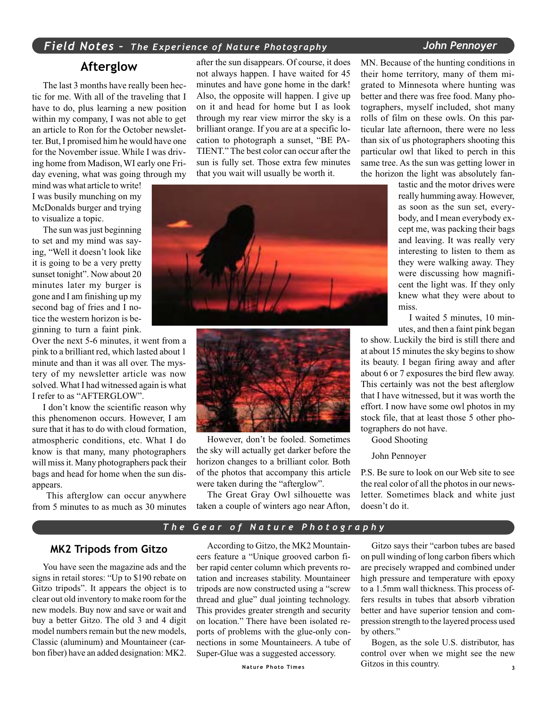#### *Field Notes – The Experience of Nature Photography John Pennoyer*

#### **Afterglow**

The last 3 months have really been hectic for me. With all of the traveling that I have to do, plus learning a new position within my company, I was not able to get an article to Ron for the October newsletter. But, I promised him he would have one for the November issue. While I was driving home from Madison, WI early one Friday evening, what was going through my

mind was what article to write! I was busily munching on my McDonalds burger and trying to visualize a topic.

The sun was just beginning to set and my mind was saying, "Well it doesn't look like it is going to be a very pretty sunset tonight". Now about 20 minutes later my burger is gone and I am finishing up my second bag of fries and I notice the western horizon is beginning to turn a faint pink.

Over the next 5-6 minutes, it went from a pink to a brilliant red, which lasted about 1 minute and than it was all over. The mystery of my newsletter article was now solved. What I had witnessed again is what I refer to as "AFTERGLOW".

I don't know the scientific reason why this phenomenon occurs. However, I am sure that it has to do with cloud formation, atmospheric conditions, etc. What I do know is that many, many photographers will miss it. Many photographers pack their bags and head for home when the sun disappears.

 This afterglow can occur anywhere from 5 minutes to as much as 30 minutes after the sun disappears. Of course, it does not always happen. I have waited for 45 minutes and have gone home in the dark! Also, the opposite will happen. I give up on it and head for home but I as look through my rear view mirror the sky is a brilliant orange. If you are at a specific location to photograph a sunset, "BE PA-TIENT." The best color can occur after the sun is fully set. Those extra few minutes that you wait will usually be worth it.





However, don't be fooled. Sometimes the sky will actually get darker before the horizon changes to a brilliant color. Both of the photos that accompany this article were taken during the "afterglow".

The Great Gray Owl silhouette was taken a couple of winters ago near Afton, MN. Because of the hunting conditions in their home territory, many of them migrated to Minnesota where hunting was better and there was free food. Many photographers, myself included, shot many rolls of film on these owls. On this particular late afternoon, there were no less than six of us photographers shooting this particular owl that liked to perch in this same tree. As the sun was getting lower in the horizon the light was absolutely fan-

> tastic and the motor drives were really humming away. However, as soon as the sun set, everybody, and I mean everybody except me, was packing their bags and leaving. It was really very interesting to listen to them as they were walking away. They were discussing how magnificent the light was. If they only knew what they were about to miss.

> I waited 5 minutes, 10 minutes, and then a faint pink began

to show. Luckily the bird is still there and at about 15 minutes the sky begins to show its beauty. I began firing away and after about 6 or 7 exposures the bird flew away. This certainly was not the best afterglow that I have witnessed, but it was worth the effort. I now have some owl photos in my stock file, that at least those 5 other photographers do not have.

Good Shooting

John Pennoyer

P.S. Be sure to look on our Web site to see the real color of all the photos in our newsletter. Sometimes black and white just doesn't do it.

#### *The Gear of Nature Photography*

#### **MK2 Tripods from Gitzo**

You have seen the magazine ads and the signs in retail stores: "Up to \$190 rebate on Gitzo tripods". It appears the object is to clear out old inventory to make room for the new models. Buy now and save or wait and buy a better Gitzo. The old 3 and 4 digit model numbers remain but the new models, Classic (aluminum) and Mountaineer (carbon fiber) have an added designation: MK2.

According to Gitzo, the MK2 Mountaineers feature a "Unique grooved carbon fiber rapid center column which prevents rotation and increases stability. Mountaineer tripods are now constructed using a "screw thread and glue" dual jointing technology. This provides greater strength and security on location." There have been isolated reports of problems with the glue-only connections in some Mountaineers. A tube of Super-Glue was a suggested accessory.

Gitzo says their "carbon tubes are based on pull winding of long carbon fibers which are precisely wrapped and combined under high pressure and temperature with epoxy to a 1.5mm wall thickness. This process offers results in tubes that absorb vibration better and have superior tension and compression strength to the layered process used by others."

**Nature Photo Times 3** Gitzos in this country.Bogen, as the sole U.S. distributor, has control over when we might see the new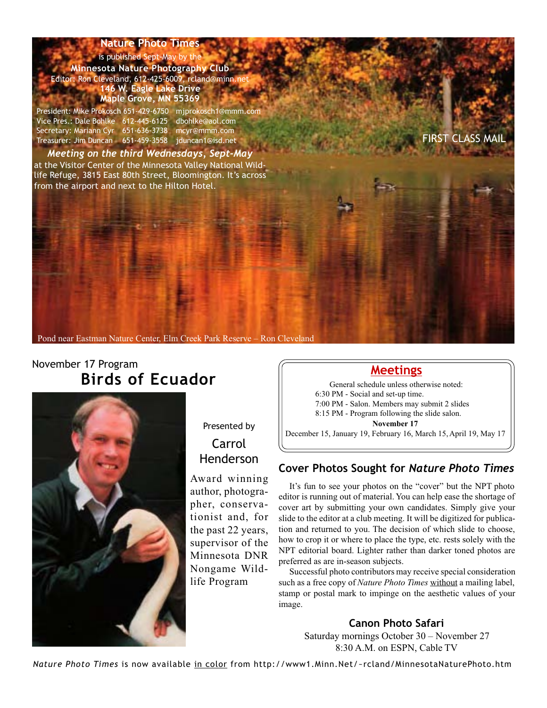is published Sept-May by the **Minnesota Nature Photography Club** Editor: Ron Cleveland, 612-425-6009, rcland@minn.net **146 W. Eagle Lake Drive Maple Grove, MN 55369**

President: Mike Prokosch 651-429-6750 mjprokosch1@mmm.com Vice Pres.: Dale Bohlke 612-445-6125 dbohlke@aol.com Secretary: Mariann Cyr 651-636-3738 mcyr@mmm.com Treasurer: Jim Duncan 651-459-3558 jduncan1@isd.net FIRST CLASS MAIL

*Meeting on the third Wednesdays, Sept-May* at the Visitor Center of the Minnesota Valley National Wildlife Refuge, 3815 East 80th Street, Bloomington. It's across from the airport and next to the Hilton Hotel.

Pond near Eastman Nature Center, Elm Creek Park Reserve – Ron Cleveland

# November 17 Program **Birds of Ecuador**



Presented by Carrol Henderson

Award winning author, photographer, conservationist and, for the past 22 years, supervisor of the Minnesota DNR Nongame Wildlife Program

#### **Meetings**

General schedule unless otherwise noted: 6:30 PM - Social and set-up time. 7:00 PM - Salon. Members may submit 2 slides 8:15 PM - Program following the slide salon. **November 17**

December 15, January 19, February 16, March 15, April 19, May 17

#### **Cover Photos Sought for** *Nature Photo Times*

It's fun to see your photos on the "cover" but the NPT photo editor is running out of material. You can help ease the shortage of cover art by submitting your own candidates. Simply give your slide to the editor at a club meeting. It will be digitized for publication and returned to you. The decision of which slide to choose, how to crop it or where to place the type, etc. rests solely with the NPT editorial board. Lighter rather than darker toned photos are preferred as are in-season subjects.

Successful photo contributors may receive special consideration such as a free copy of *Nature Photo Times* without a mailing label, stamp or postal mark to impinge on the aesthetic values of your image.

#### **Canon Photo Safari**

Saturday mornings October 30 – November 27 8:30 A.M. on ESPN, Cable TV

*Nature Photo Times* is now available in color from http://www1.Minn.Net/~rcland/MinnesotaNaturePhoto.htm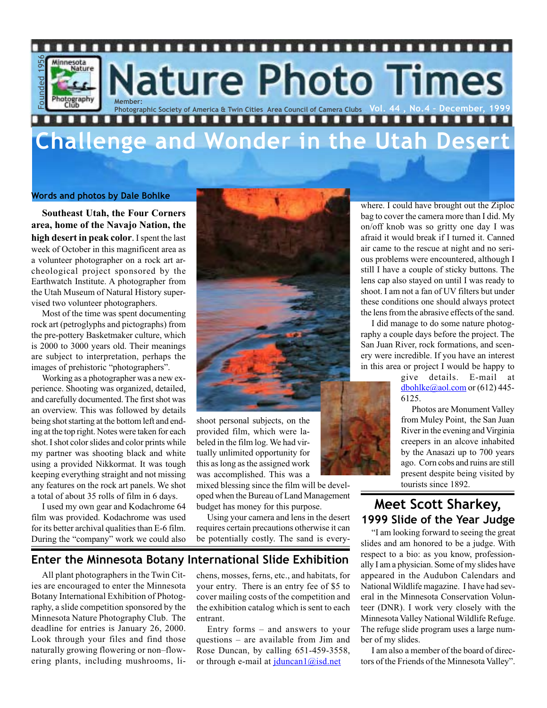

# **Challenge and Wonder in the Utah Desert**

#### **Words and photos by Dale Bohlke**

**Southeast Utah, the Four Corners area, home of the Navajo Nation, the high desert in peak color**. I spent the last week of October in this magnificent area as a volunteer photographer on a rock art archeological project sponsored by the Earthwatch Institute. A photographer from the Utah Museum of Natural History supervised two volunteer photographers.

Most of the time was spent documenting rock art (petroglyphs and pictographs) from the pre-pottery Basketmaker culture, which is 2000 to 3000 years old. Their meanings are subject to interpretation, perhaps the images of prehistoric "photographers".

Working as a photographer was a new experience. Shooting was organized, detailed, and carefully documented. The first shot was an overview. This was followed by details being shot starting at the bottom left and ending at the top right. Notes were taken for each shot. I shot color slides and color prints while my partner was shooting black and white using a provided Nikkormat. It was tough keeping everything straight and not missing any features on the rock art panels. We shot a total of about 35 rolls of film in 6 days.

I used my own gear and Kodachrome 64 film was provided. Kodachrome was used for its better archival qualities than E-6 film. During the "company" work we could also



shoot personal subjects, on the provided film, which were labeled in the film log. We had virtually unlimited opportunity for this as long as the assigned work was accomplished. This was a

mixed blessing since the film will be developed when the Bureau of Land Management budget has money for this purpose.

Using your camera and lens in the desert requires certain precautions otherwise it can be potentially costly. The sand is every-

#### **Enter the Minnesota Botany International Slide Exhibition**

All plant photographers in the Twin Cities are encouraged to enter the Minnesota Botany International Exhibition of Photography, a slide competition sponsored by the Minnesota Nature Photography Club. The deadline for entries is January 26, 2000. Look through your files and find those naturally growing flowering or non–flowering plants, including mushrooms, lichens, mosses, ferns, etc., and habitats, for your entry. There is an entry fee of \$5 to cover mailing costs of the competition and the exhibition catalog which is sent to each entrant.

Entry forms – and answers to your questions – are available from Jim and Rose Duncan, by calling 651-459-3558, or through e-mail at jduncan1@isd.net

where. I could have brought out the Ziploc bag to cover the camera more than I did. My on/off knob was so gritty one day I was afraid it would break if I turned it. Canned air came to the rescue at night and no serious problems were encountered, although I still I have a couple of sticky buttons. The lens cap also stayed on until I was ready to shoot. I am not a fan of UV filters but under these conditions one should always protect the lens from the abrasive effects of the sand.

I did manage to do some nature photography a couple days before the project. The San Juan River, rock formations, and scenery were incredible. If you have an interest in this area or project I would be happy to

> give details. E-mail at dbohlke@aol.com or (612) 445-6125.

> Photos are Monument Valley from Muley Point, the San Juan River in the evening and Virginia creepers in an alcove inhabited by the Anasazi up to 700 years ago. Corn cobs and ruins are still present despite being visited by tourists since 1892.

### **Meet Scott Sharkey, 1999 Slide of the Year Judge**

"I am looking forward to seeing the great slides and am honored to be a judge. With respect to a bio: as you know, professionally I am a physician. Some of my slides have appeared in the Audubon Calendars and National Wildlife magazine. I have had several in the Minnesota Conservation Volunteer (DNR). I work very closely with the Minnesota Valley National Wildlife Refuge. The refuge slide program uses a large number of my slides.

I am also a member of the board of directors of the Friends of the Minnesota Valley".

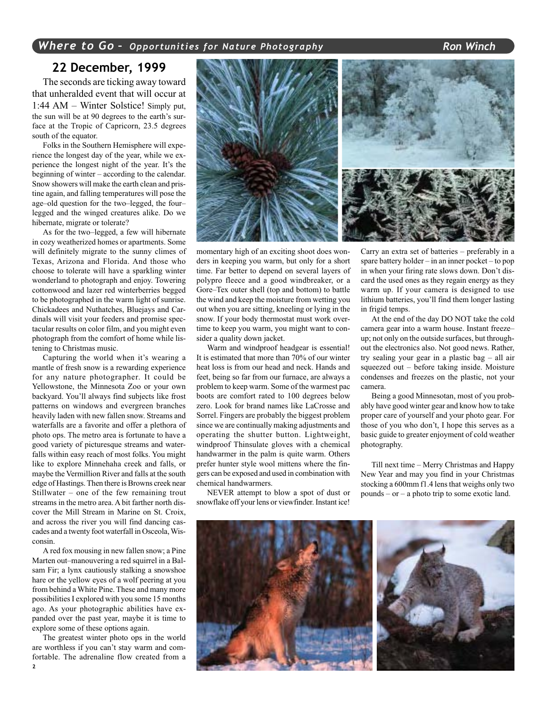#### **22 December, 1999**

The seconds are ticking away toward that unheralded event that will occur at 1:44 AM – Winter Solstice! Simply put, the sun will be at 90 degrees to the earth's surface at the Tropic of Capricorn, 23.5 degrees south of the equator.

Folks in the Southern Hemisphere will experience the longest day of the year, while we experience the longest night of the year. It's the beginning of winter – according to the calendar. Snow showers will make the earth clean and pristine again, and falling temperatures will pose the age–old question for the two–legged, the four– legged and the winged creatures alike. Do we hibernate, migrate or tolerate?

As for the two–legged, a few will hibernate in cozy weatherized homes or apartments. Some will definitely migrate to the sunny climes of Texas, Arizona and Florida. And those who choose to tolerate will have a sparkling winter wonderland to photograph and enjoy. Towering cottonwood and lazer red winterberries begged to be photographed in the warm light of sunrise. Chickadees and Nuthatches, Bluejays and Cardinals will visit your feeders and promise spectacular results on color film, and you might even photograph from the comfort of home while listening to Christmas music.

Capturing the world when it's wearing a mantle of fresh snow is a rewarding experience for any nature photographer. It could be Yellowstone, the Minnesota Zoo or your own backyard. You'll always find subjects like frost patterns on windows and evergreen branches heavily laden with new fallen snow. Streams and waterfalls are a favorite and offer a plethora of photo ops. The metro area is fortunate to have a good variety of picturesque streams and waterfalls within easy reach of most folks. You might like to explore Minnehaha creek and falls, or maybe the Vermillion River and falls at the south edge of Hastings. Then there is Browns creek near Stillwater – one of the few remaining trout streams in the metro area. A bit farther north discover the Mill Stream in Marine on St. Croix, and across the river you will find dancing cascades and a twenty foot waterfall in Osceola, Wisconsin.

A red fox mousing in new fallen snow; a Pine Marten out–manouvering a red squirrel in a Balsam Fir; a lynx cautiously stalking a snowshoe hare or the yellow eyes of a wolf peering at you from behind a White Pine. These and many more possibilities I explored with you some 15 months ago. As your photographic abilities have expanded over the past year, maybe it is time to explore some of these options again.

The greatest winter photo ops in the world are worthless if you can't stay warm and comfortable. The adrenaline flow created from a



momentary high of an exciting shoot does wonders in keeping you warm, but only for a short time. Far better to depend on several layers of polypro fleece and a good windbreaker, or a Gore–Tex outer shell (top and bottom) to battle the wind and keep the moisture from wetting you out when you are sitting, kneeling or lying in the snow. If your body thermostat must work overtime to keep you warm, you might want to consider a quality down jacket.

Warm and windproof headgear is essential! It is estimated that more than 70% of our winter heat loss is from our head and neck. Hands and feet, being so far from our furnace, are always a problem to keep warm. Some of the warmest pac boots are comfort rated to 100 degrees below zero. Look for brand names like LaCrosse and Sorrel. Fingers are probably the biggest problem since we are continually making adjustments and operating the shutter button. Lightweight, windproof Thinsulate gloves with a chemical handwarmer in the palm is quite warm. Others prefer hunter style wool mittens where the fingers can be exposed and used in combination with chemical handwarmers.

NEVER attempt to blow a spot of dust or snowflake off your lens or viewfinder. Instant ice!

Carry an extra set of batteries – preferably in a spare battery holder – in an inner pocket – to pop in when your firing rate slows down. Don't discard the used ones as they regain energy as they warm up. If your camera is designed to use lithium batteries, you'll find them longer lasting in frigid temps.

At the end of the day DO NOT take the cold camera gear into a warm house. Instant freeze– up; not only on the outside surfaces, but throughout the electronics also. Not good news. Rather, try sealing your gear in a plastic bag – all air squeezed out – before taking inside. Moisture condenses and freezes on the plastic, not your camera.

Being a good Minnesotan, most of you probably have good winter gear and know how to take proper care of yourself and your photo gear. For those of you who don't, I hope this serves as a basic guide to greater enjoyment of cold weather photography.

Till next time – Merry Christmas and Happy New Year and may you find in your Christmas stocking a 600mm f1.4 lens that weighs only two pounds – or – a photo trip to some exotic land.

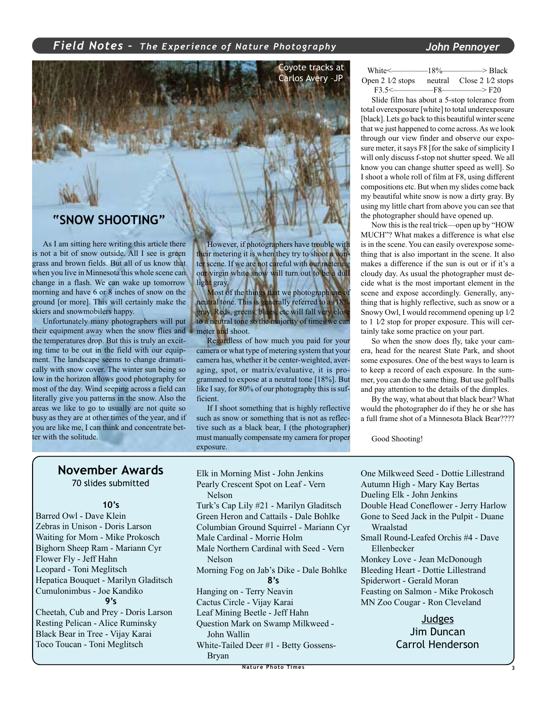#### *Field Notes – The Experience of Nature Photography John Pennoyer*



As I am sitting here writing this article there is not a bit of snow outside. All I see is green grass and brown fields. But all of us know that when you live in Minnesota this whole scene can change in a flash. We can wake up tomorrow morning and have 6 or 8 inches of snow on the ground [or more]. This will certainly make the skiers and snowmobilers happy.

Unfortunately many photographers will put their equipment away when the snow flies and the temperatures drop. But this is truly an exciting time to be out in the field with our equipment. The landscape seems to change dramatically with snow cover. The winter sun being so low in the horizon allows good photography for most of the day. Wind seeping across a field can literally give you patterns in the snow. Also the areas we like to go to usually are not quite so busy as they are at other times of the year, and if you are like me, I can think and concentrate better with the solitude.

However, if photographers have trouble with their metering it is when they try to shoot a winter scene. If we are not careful with our metering our virgin white snow will turn out to be a dull light gray.

Most of the things that we photograph are neutral tone. This is generally referred to as 18% gray. Reds, greens, blues, etc will fall very close to a neutral tone so the majority of times we can meter and shoot.

Regardless of how much you paid for your camera or what type of metering system that your camera has, whether it be center-weighted, averaging, spot, or matrix/evaluative, it is programmed to expose at a neutral tone [18%]. But like I say, for 80% of our photography this is sufficient.

If I shoot something that is highly reflective such as snow or something that is not as reflective such as a black bear, I (the photographer) must manually compensate my camera for proper exposure.

| White< <sub>--------</sub> | $-18%$ | —> Black                           |
|----------------------------|--------|------------------------------------|
| Open 2 1/2 stops           |        | neutral $\angle$ Close 2 1/2 stops |
| $F3.5<$ $-F8$ $-$          |        | $\longrightarrow$ F20              |

Slide film has about a 5-stop tolerance from total overexposure [white] to total underexposure [black]. Lets go back to this beautiful winter scene that we just happened to come across. As we look through our view finder and observe our exposure meter, it says F8 [for the sake of simplicity I will only discuss f-stop not shutter speed. We all know you can change shutter speed as well]. So I shoot a whole roll of film at F8, using different compositions etc. But when my slides come back my beautiful white snow is now a dirty gray. By using my little chart from above you can see that the photographer should have opened up.

Now this is the real trick—open up by "HOW MUCH"? What makes a difference is what else is in the scene. You can easily overexpose something that is also important in the scene. It also makes a difference if the sun is out or if it's a cloudy day. As usual the photographer must decide what is the most important element in the scene and expose accordingly. Generally, anything that is highly reflective, such as snow or a Snowy Owl, I would recommend opening up 1⁄2 to 1 1⁄2 stop for proper exposure. This will certainly take some practice on your part.

So when the snow does fly, take your camera, head for the nearest State Park, and shoot some exposures. One of the best ways to learn is to keep a record of each exposure. In the summer, you can do the same thing. But use golf balls and pay attention to the details of the dimples.

By the way, what about that black bear? What would the photographer do if they he or she has a full frame shot of a Minnesota Black Bear????

Good Shooting!

#### **November Awards**

70 slides submitted

#### **10's**

Barred Owl - Dave Klein Zebras in Unison - Doris Larson Waiting for Mom - Mike Prokosch Bighorn Sheep Ram - Mariann Cyr Flower Fly - Jeff Hahn Leopard - Toni Meglitsch Hepatica Bouquet - Marilyn Gladitsch Cumulonimbus - Joe Kandiko **9's**

Cheetah, Cub and Prey - Doris Larson Resting Pelican - Alice Ruminsky Black Bear in Tree - Vijay Karai Toco Toucan - Toni Meglitsch

Elk in Morning Mist - John Jenkins Pearly Crescent Spot on Leaf - Vern Nelson Turk's Cap Lily #21 - Marilyn Gladitsch Green Heron and Cattails - Dale Bohlke Columbian Ground Squirrel - Mariann Cyr Male Cardinal - Morrie Holm Male Northern Cardinal with Seed - Vern Nelson Morning Fog on Jab's Dike - Dale Bohlke **8's** Hanging on - Terry Neavin Cactus Circle - Vijay Karai Leaf Mining Beetle - Jeff Hahn Question Mark on Swamp Milkweed - John Wallin

White-Tailed Deer #1 - Betty Gossens-Bryan

Dueling Elk - John Jenkins Double Head Coneflower - Jerry Harlow Gone to Seed Jack in the Pulpit - Duane Wraalstad Small Round-Leafed Orchis #4 - Dave Ellenbecker Monkey Love - Jean McDonough Bleeding Heart - Dottie Lillestrand Spiderwort - Gerald Moran

One Milkweed Seed - Dottie Lillestrand Autumn High - Mary Kay Bertas

Feasting on Salmon - Mike Prokosch MN Zoo Cougar - Ron Cleveland

#### **Judges** Jim Duncan Carrol Henderson

**Nature Photo Times 3**